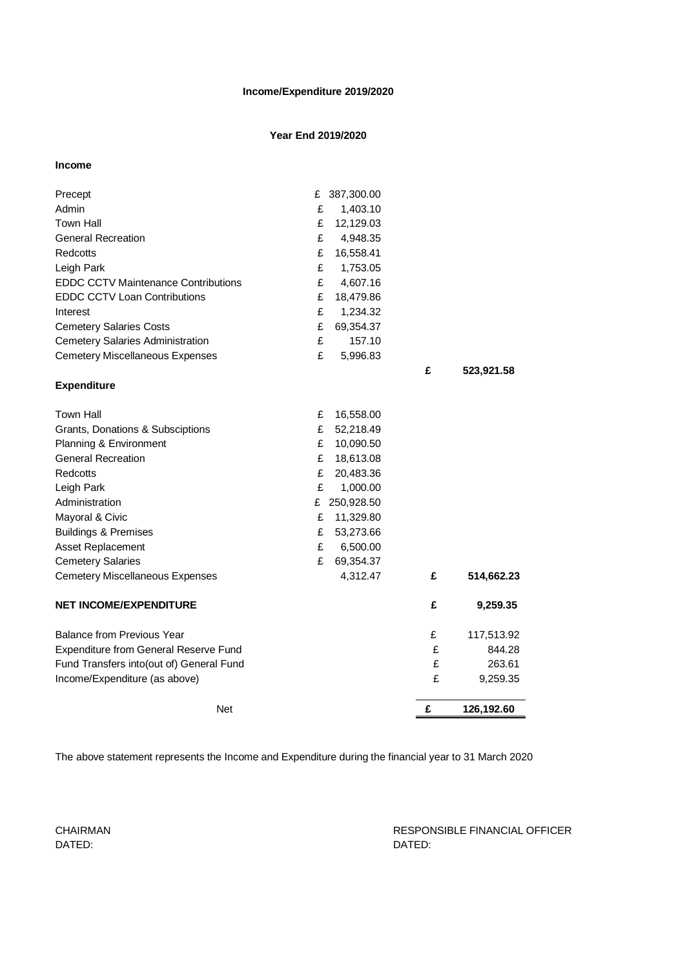## **Income/Expenditure 2019/2020**

# **Year End 2019/2020**

### **Income**

| Precept                                             | £      | 387,300.00 |   |            |
|-----------------------------------------------------|--------|------------|---|------------|
| Admin                                               | £      | 1,403.10   |   |            |
| Town Hall                                           | £      | 12,129.03  |   |            |
| <b>General Recreation</b>                           | £      | 4,948.35   |   |            |
| Redcotts                                            | £      | 16,558.41  |   |            |
| Leigh Park                                          | £      | 1,753.05   |   |            |
| <b>EDDC CCTV Maintenance Contributions</b>          | £      | 4,607.16   |   |            |
| <b>EDDC CCTV Loan Contributions</b>                 | £      | 18,479.86  |   |            |
| Interest                                            | £      | 1,234.32   |   |            |
| <b>Cemetery Salaries Costs</b>                      | £      | 69,354.37  |   |            |
| <b>Cemetery Salaries Administration</b>             | £      | 157.10     |   |            |
| <b>Cemetery Miscellaneous Expenses</b>              | £      | 5,996.83   |   |            |
| <b>Expenditure</b>                                  |        |            | £ | 523,921.58 |
|                                                     |        |            |   |            |
| <b>Town Hall</b>                                    | £      | 16,558.00  |   |            |
| Grants, Donations & Subsciptions                    | £      | 52,218.49  |   |            |
| Planning & Environment<br><b>General Recreation</b> | £<br>£ | 10,090.50  |   |            |
|                                                     |        | 18,613.08  |   |            |
| Redcotts                                            | £<br>£ | 20,483.36  |   |            |
| Leigh Park                                          |        | 1,000.00   |   |            |
| Administration                                      | £      | 250,928.50 |   |            |
| Mayoral & Civic                                     | £      | 11,329.80  |   |            |
| <b>Buildings &amp; Premises</b>                     | £      | 53,273.66  |   |            |
| <b>Asset Replacement</b>                            | £      | 6,500.00   |   |            |
| <b>Cemetery Salaries</b>                            | £      | 69,354.37  |   |            |
| <b>Cemetery Miscellaneous Expenses</b>              |        | 4,312.47   | £ | 514,662.23 |
| <b>NET INCOME/EXPENDITURE</b>                       |        |            | £ | 9,259.35   |
| <b>Balance from Previous Year</b>                   |        |            | £ | 117,513.92 |
| Expenditure from General Reserve Fund               |        |            | £ | 844.28     |
| Fund Transfers into(out of) General Fund            |        |            | £ | 263.61     |
| Income/Expenditure (as above)                       |        |            | £ | 9,259.35   |
| <b>Net</b>                                          |        |            | £ | 126,192.60 |

The above statement represents the Income and Expenditure during the financial year to 31 March 2020

DATED: DATED:

CHAIRMAN RESPONSIBLE FINANCIAL OFFICER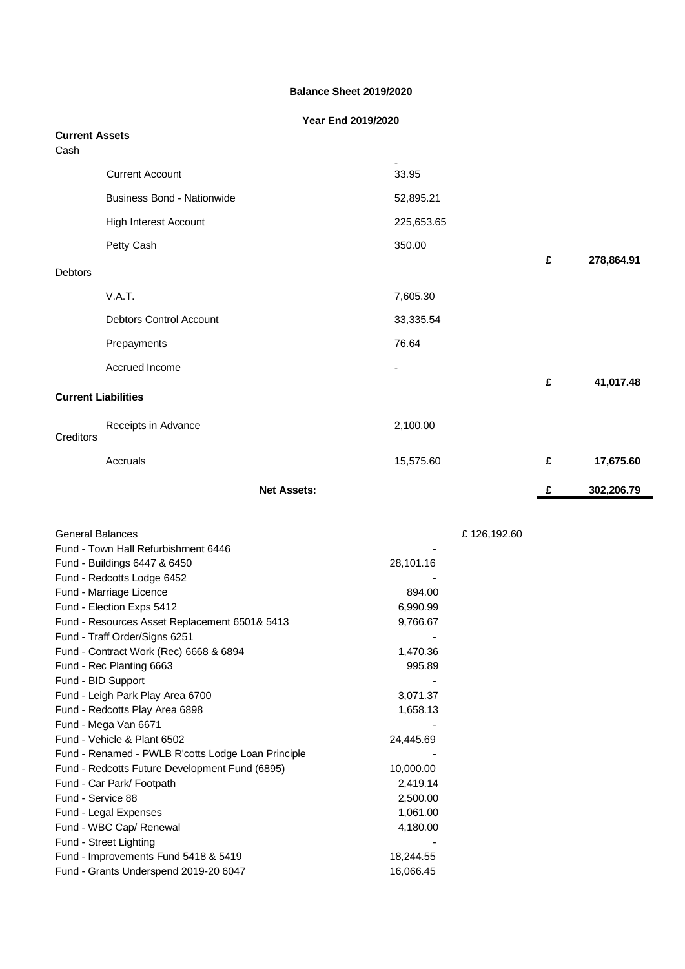### **Balance Sheet 2019/2020**

## **Year End 2019/2020**

| <b>Current Assets</b><br>Cash |                                   |                    |             |        |            |
|-------------------------------|-----------------------------------|--------------------|-------------|--------|------------|
|                               | <b>Current Account</b>            |                    | Ξ.<br>33.95 |        |            |
|                               | <b>Business Bond - Nationwide</b> |                    | 52,895.21   |        |            |
|                               | High Interest Account             |                    | 225,653.65  |        |            |
|                               | Petty Cash                        |                    | 350.00      |        |            |
| Debtors                       |                                   |                    |             | £      | 278,864.91 |
|                               | V.A.T.                            |                    | 7,605.30    |        |            |
|                               | Debtors Control Account           |                    | 33,335.54   |        |            |
|                               | Prepayments                       |                    | 76.64       |        |            |
|                               | Accrued Income                    |                    | -           |        |            |
| <b>Current Liabilities</b>    |                                   |                    |             | £      | 41,017.48  |
| Creditors                     | Receipts in Advance               |                    | 2,100.00    |        |            |
|                               | Accruals                          |                    | 15,575.60   | £      | 17,675.60  |
|                               |                                   | <b>Net Assets:</b> |             | £<br>= | 302,206.79 |

| General Balances                                   |           |  |
|----------------------------------------------------|-----------|--|
| Fund - Town Hall Refurbishment 6446                |           |  |
| Fund - Buildings 6447 & 6450                       | 28,101.16 |  |
| Fund - Redcotts Lodge 6452                         |           |  |
| Fund - Marriage Licence                            | 894.00    |  |
| Fund - Election Exps 5412                          | 6,990.99  |  |
| Fund - Resources Asset Replacement 6501& 5413      | 9,766.67  |  |
| Fund - Traff Order/Signs 6251                      |           |  |
| Fund - Contract Work (Rec) 6668 & 6894             | 1,470.36  |  |
| Fund - Rec Planting 6663                           | 995.89    |  |
| Fund - BID Support                                 |           |  |
| Fund - Leigh Park Play Area 6700                   | 3,071.37  |  |
| Fund - Redcotts Play Area 6898                     | 1,658.13  |  |
| Fund - Mega Van 6671                               |           |  |
| Fund - Vehicle & Plant 6502                        | 24,445.69 |  |
| Fund - Renamed - PWLB R'cotts Lodge Loan Principle |           |  |
| Fund - Redcotts Future Development Fund (6895)     | 10,000.00 |  |
| Fund - Car Park/ Footpath                          | 2,419.14  |  |
| Fund - Service 88                                  | 2,500.00  |  |
| Fund - Legal Expenses                              | 1,061.00  |  |
| Fund - WBC Cap/ Renewal                            | 4,180.00  |  |
| Fund - Street Lighting                             |           |  |
| Fund - Improvements Fund 5418 & 5419               | 18,244.55 |  |
| Fund - Grants Underspend 2019-20 6047              | 16,066.45 |  |
|                                                    |           |  |

£ 126,192.60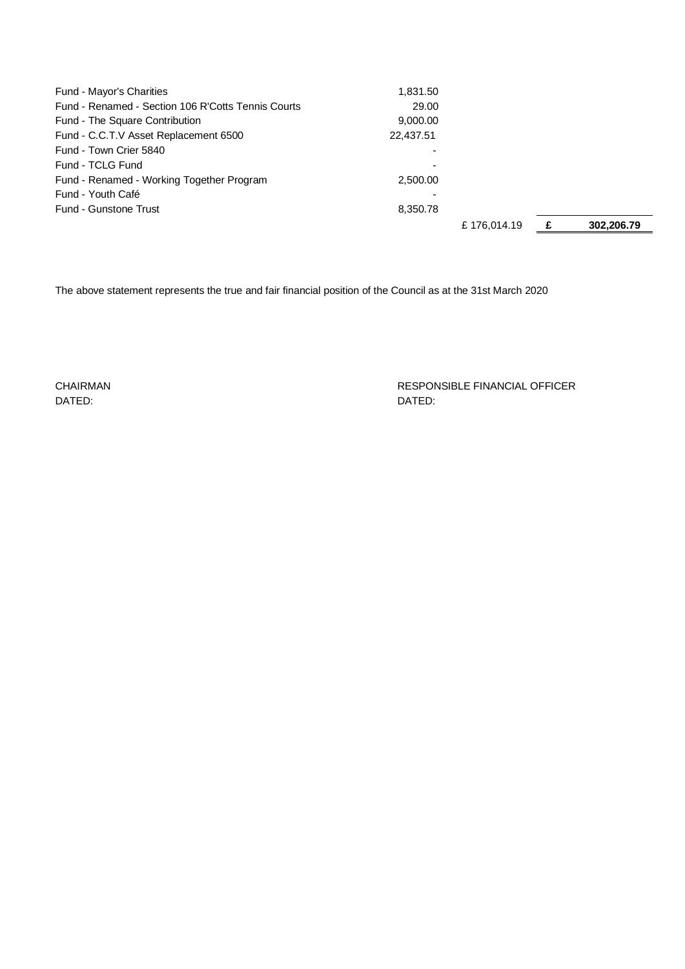| <b>Fund - Mayor's Charities</b>                    | 1,831.50  |             |            |
|----------------------------------------------------|-----------|-------------|------------|
| Fund - Renamed - Section 106 R'Cotts Tennis Courts | 29.00     |             |            |
| Fund - The Square Contribution                     | 9,000.00  |             |            |
| Fund - C.C.T.V Asset Replacement 6500              | 22,437.51 |             |            |
| Fund - Town Crier 5840                             |           |             |            |
| Fund - TCLG Fund                                   |           |             |            |
| Fund - Renamed - Working Together Program          | 2.500.00  |             |            |
| Fund - Youth Café                                  |           |             |            |
| Fund - Gunstone Trust                              | 8,350.78  |             |            |
|                                                    |           | £176.014.19 | 302.206.79 |

The above statement represents the true and fair financial position of the Council as at the 31st March 2020

DATED: DATED:

CHAIRMAN RESPONSIBLE FINANCIAL OFFICER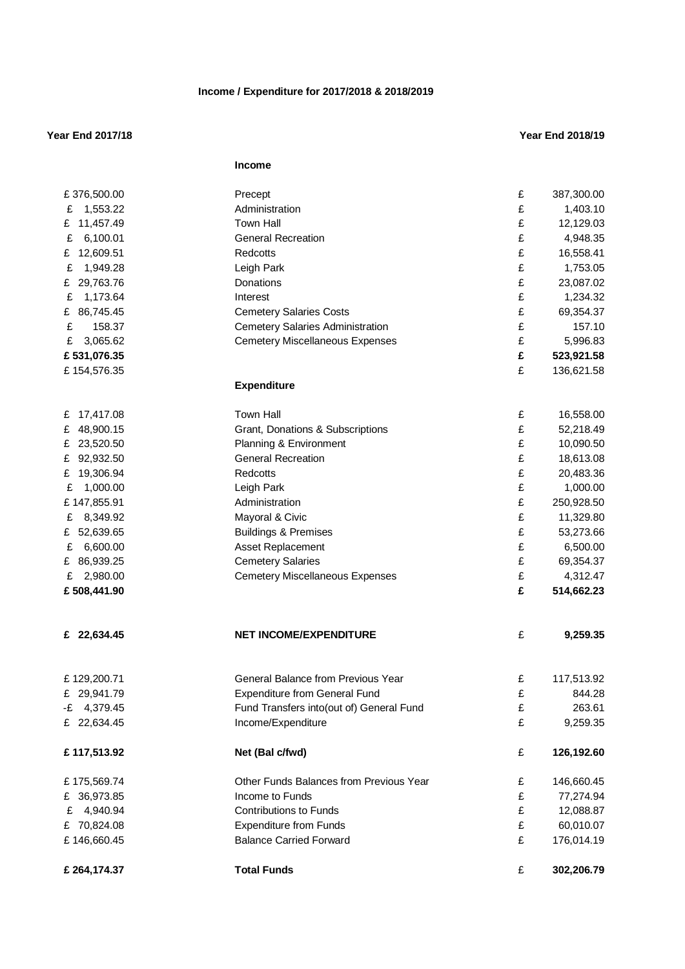## **Income / Expenditure for 2017/2018 & 2018/2019**

### **Year End 2017/18 Year End 2018/19**

|                | <b>Income</b>                            |   |            |
|----------------|------------------------------------------|---|------------|
| £376,500.00    | Precept                                  | £ | 387,300.00 |
| 1,553.22<br>£  | Administration                           | £ | 1,403.10   |
| £ 11,457.49    | <b>Town Hall</b>                         | £ | 12,129.03  |
| 6,100.01<br>£  | <b>General Recreation</b>                | £ | 4,948.35   |
| 12,609.51<br>£ | Redcotts                                 | £ | 16,558.41  |
| 1,949.28<br>£  | Leigh Park                               | £ | 1,753.05   |
| £ 29,763.76    | Donations                                | £ | 23,087.02  |
| 1,173.64<br>£  | Interest                                 | £ | 1,234.32   |
| £ 86,745.45    | <b>Cemetery Salaries Costs</b>           | £ | 69,354.37  |
| £<br>158.37    | <b>Cemetery Salaries Administration</b>  | £ | 157.10     |
| 3,065.62<br>£  | <b>Cemetery Miscellaneous Expenses</b>   | £ | 5,996.83   |
| £531,076.35    |                                          | £ | 523,921.58 |
| £154,576.35    |                                          | £ | 136,621.58 |
|                | <b>Expenditure</b>                       |   |            |
| 17,417.08<br>£ | <b>Town Hall</b>                         | £ | 16,558.00  |
| 48,900.15<br>£ | Grant, Donations & Subscriptions         | £ | 52,218.49  |
| £ 23,520.50    | Planning & Environment                   | £ | 10,090.50  |
| £ 92,932.50    | <b>General Recreation</b>                | £ | 18,613.08  |
| 19,306.94<br>£ | Redcotts                                 | £ | 20,483.36  |
| 1,000.00<br>£  | Leigh Park                               | £ | 1,000.00   |
| £147,855.91    | Administration                           | £ | 250,928.50 |
| 8,349.92<br>£  | Mayoral & Civic                          | £ | 11,329.80  |
| £ 52,639.65    | <b>Buildings &amp; Premises</b>          | £ | 53,273.66  |
| £<br>6,600.00  | Asset Replacement                        | £ | 6,500.00   |
| £ 86,939.25    | <b>Cemetery Salaries</b>                 | £ | 69,354.37  |
| 2,980.00<br>£  | <b>Cemetery Miscellaneous Expenses</b>   | £ | 4,312.47   |
| £508,441.90    |                                          | £ | 514,662.23 |
|                |                                          |   |            |
| 22,634.45<br>£ | <b>NET INCOME/EXPENDITURE</b>            | £ | 9,259.35   |
| £129,200.71    | General Balance from Previous Year       | £ | 117,513.92 |
| £ 29,941.79    | <b>Expenditure from General Fund</b>     | £ | 844.28     |
| $-E$ 4,379.45  | Fund Transfers into(out of) General Fund | £ | 263.61     |
| £ 22,634.45    | Income/Expenditure                       | £ | 9,259.35   |
| £117,513.92    | Net (Bal c/fwd)                          | £ | 126,192.60 |
| £175,569.74    | Other Funds Balances from Previous Year  | £ | 146,660.45 |
| £ 36,973.85    | Income to Funds                          | £ | 77,274.94  |
| 4,940.94<br>£  | <b>Contributions to Funds</b>            | £ | 12,088.87  |
| £ 70,824.08    | <b>Expenditure from Funds</b>            | £ | 60,010.07  |
| £146,660.45    | <b>Balance Carried Forward</b>           | £ | 176,014.19 |
| £ 264,174.37   | <b>Total Funds</b>                       | £ | 302,206.79 |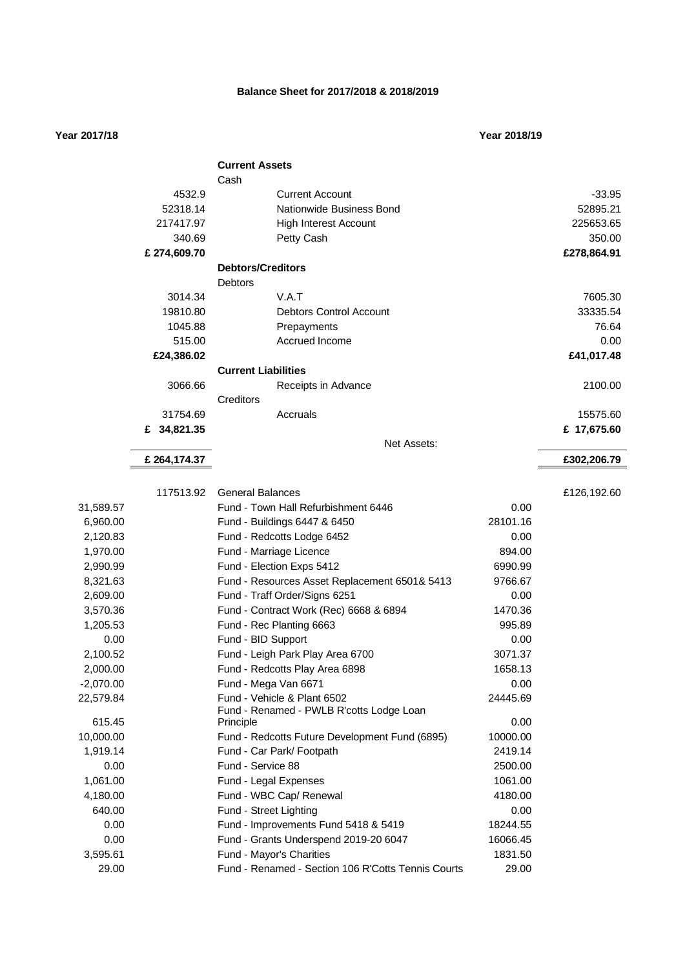### **Balance Sheet for 2017/2018 & 2018/2019**

### **Year 2017/18 Year 2018/19**

|             |              | <b>Current Assets</b>                              |          |             |
|-------------|--------------|----------------------------------------------------|----------|-------------|
|             |              | Cash                                               |          |             |
|             | 4532.9       | <b>Current Account</b>                             |          | $-33.95$    |
|             | 52318.14     | Nationwide Business Bond                           |          | 52895.21    |
|             | 217417.97    | <b>High Interest Account</b>                       |          | 225653.65   |
|             | 340.69       | Petty Cash                                         |          | 350.00      |
|             | £ 274,609.70 |                                                    |          | £278,864.91 |
|             |              | <b>Debtors/Creditors</b>                           |          |             |
|             |              | <b>Debtors</b>                                     |          |             |
|             | 3014.34      | V.A.T                                              |          | 7605.30     |
|             | 19810.80     | <b>Debtors Control Account</b>                     |          | 33335.54    |
|             | 1045.88      | Prepayments                                        |          | 76.64       |
|             | 515.00       | Accrued Income                                     |          | 0.00        |
|             | £24,386.02   |                                                    |          | £41,017.48  |
|             |              | <b>Current Liabilities</b>                         |          |             |
|             | 3066.66      | Receipts in Advance                                |          | 2100.00     |
|             |              | Creditors                                          |          |             |
|             | 31754.69     | Accruals                                           |          | 15575.60    |
|             | £ 34,821.35  |                                                    |          | £ 17,675.60 |
|             |              | Net Assets:                                        |          |             |
|             | £ 264,174.37 |                                                    |          | £302,206.79 |
|             |              |                                                    |          |             |
|             | 117513.92    | <b>General Balances</b>                            |          | £126,192.60 |
| 31,589.57   |              | Fund - Town Hall Refurbishment 6446                | 0.00     |             |
| 6,960.00    |              | Fund - Buildings 6447 & 6450                       | 28101.16 |             |
| 2,120.83    |              | Fund - Redcotts Lodge 6452                         | 0.00     |             |
| 1,970.00    |              | Fund - Marriage Licence                            | 894.00   |             |
| 2,990.99    |              | Fund - Election Exps 5412                          | 6990.99  |             |
| 8,321.63    |              | Fund - Resources Asset Replacement 6501& 5413      | 9766.67  |             |
| 2,609.00    |              | Fund - Traff Order/Signs 6251                      | 0.00     |             |
| 3,570.36    |              | Fund - Contract Work (Rec) 6668 & 6894             | 1470.36  |             |
| 1,205.53    |              | Fund - Rec Planting 6663                           | 995.89   |             |
| 0.00        |              | Fund - BID Support                                 | 0.00     |             |
| 2,100.52    |              | Fund - Leigh Park Play Area 6700                   | 3071.37  |             |
| 2,000.00    |              | Fund - Redcotts Play Area 6898                     | 1658.13  |             |
| $-2,070.00$ |              | Fund - Mega Van 6671                               | 0.00     |             |
| 22,579.84   |              | Fund - Vehicle & Plant 6502                        | 24445.69 |             |
|             |              | Fund - Renamed - PWLB R'cotts Lodge Loan           |          |             |
| 615.45      |              | Principle                                          | 0.00     |             |
| 10,000.00   |              | Fund - Redcotts Future Development Fund (6895)     | 10000.00 |             |
| 1,919.14    |              | Fund - Car Park/ Footpath                          | 2419.14  |             |
| 0.00        |              | Fund - Service 88                                  | 2500.00  |             |
| 1,061.00    |              | Fund - Legal Expenses                              | 1061.00  |             |
| 4,180.00    |              | Fund - WBC Cap/ Renewal                            | 4180.00  |             |
| 640.00      |              | Fund - Street Lighting                             | 0.00     |             |
| 0.00        |              | Fund - Improvements Fund 5418 & 5419               | 18244.55 |             |
| 0.00        |              | Fund - Grants Underspend 2019-20 6047              | 16066.45 |             |
| 3,595.61    |              | Fund - Mayor's Charities                           | 1831.50  |             |
| 29.00       |              | Fund - Renamed - Section 106 R'Cotts Tennis Courts | 29.00    |             |